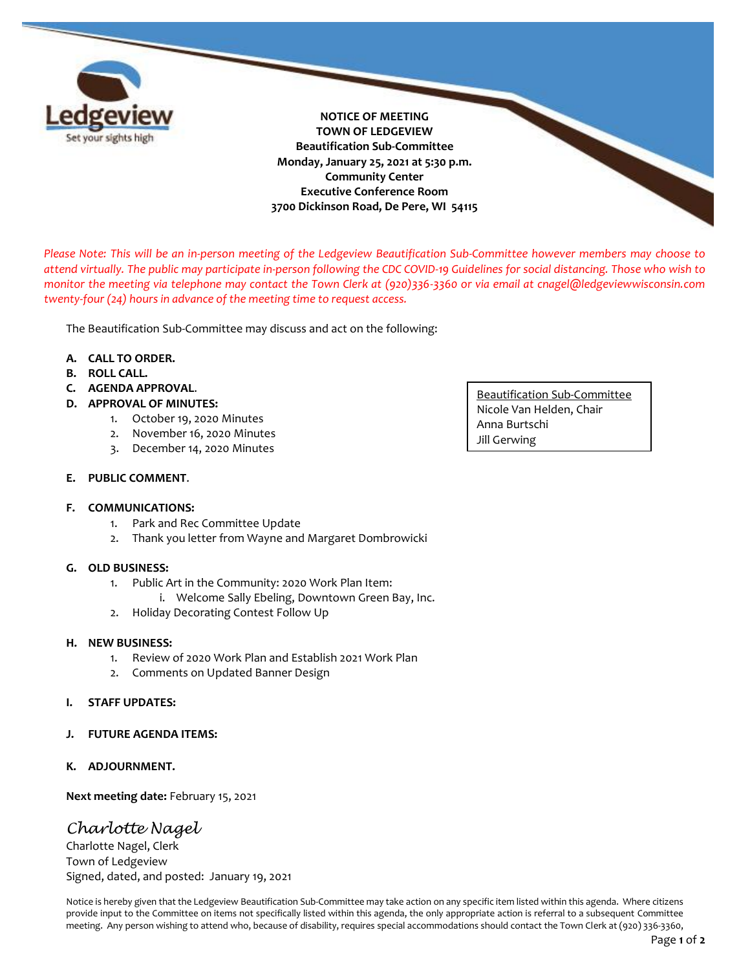

**NOTICE OF MEETING TOWN OF LEDGEVIEW Beautification Sub-Committee Monday, January 25, 2021 at 5:30 p.m. Community Center Executive Conference Room 3700 Dickinson Road, De Pere, WI 54115**

*Please Note: This will be an in-person meeting of the Ledgeview Beautification Sub-Committee however members may choose to attend virtually. The public may participate in-person following the CDC COVID-19 Guidelines for social distancing. Those who wish to monitor the meeting via telephone may contact the Town Clerk at (920)336-3360 or via email at cnagel@ledgeviewwisconsin.com twenty-four (24) hours in advance of the meeting time to request access.* 

The Beautification Sub-Committee may discuss and act on the following:

## **A. CALL TO ORDER.**

- **B. ROLL CALL.**
- **C. AGENDA APPROVAL**.
- **D. APPROVAL OF MINUTES:** 
	- 1. October 19, 2020 Minutes
	- 2. November 16, 2020 Minutes
	- 3. December 14, 2020 Minutes

## **E. PUBLIC COMMENT**.

## **F. COMMUNICATIONS:**

- 1. Park and Rec Committee Update
- 2. Thank you letter from Wayne and Margaret Dombrowicki

## **G. OLD BUSINESS:**

- 1. Public Art in the Community: 2020 Work Plan Item:
	- i. Welcome Sally Ebeling, Downtown Green Bay, Inc.
- 2. Holiday Decorating Contest Follow Up

## **H. NEW BUSINESS:**

- 1. Review of 2020 Work Plan and Establish 2021 Work Plan
- 2. Comments on Updated Banner Design

## **I. STAFF UPDATES:**

- **J. FUTURE AGENDA ITEMS:**
- **K. ADJOURNMENT.**

**Next meeting date:** February 15, 2021

# *Charlotte Nagel*

Charlotte Nagel, Clerk Town of Ledgeview Signed, dated, and posted: January 19, 2021

Notice is hereby given that the Ledgeview Beautification Sub-Committee may take action on any specific item listed within this agenda. Where citizens provide input to the Committee on items not specifically listed within this agenda, the only appropriate action is referral to a subsequent Committee meeting. Any person wishing to attend who, because of disability, requires special accommodations should contact the Town Clerk at (920) 336-3360,

Beautification Sub-Committee Nicole Van Helden, Chair Anna Burtschi Jill Gerwing